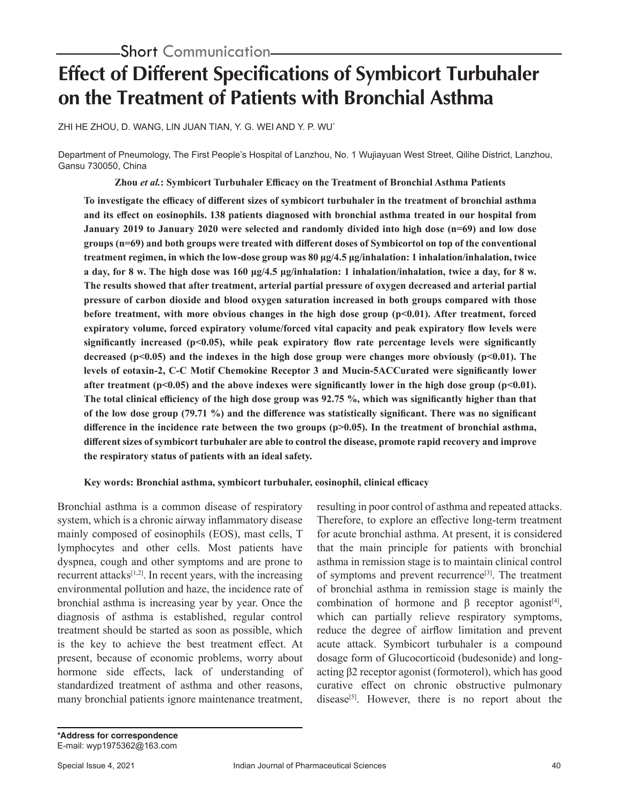# **Effect of Different Specifications of Symbicort Turbuhaler on the Treatment of Patients with Bronchial Asthma**

ZHI HE ZHOU, D. WANG, LIN JUAN TIAN, Y. G. WEI AND Y. P. WU\*

Department of Pneumology, The First People's Hospital of Lanzhou, No. 1 Wujiayuan West Street, Qilihe District, Lanzhou, Gansu 730050, China

**Zhou** *et al.***: Symbicort Turbuhaler Efficacy on the Treatment of Bronchial Asthma Patients**

**To investigate the efficacy of different sizes of symbicort turbuhaler in the treatment of bronchial asthma and its effect on eosinophils. 138 patients diagnosed with bronchial asthma treated in our hospital from January 2019 to January 2020 were selected and randomly divided into high dose (n=69) and low dose groups (n=69) and both groups were treated with different doses of Symbicortol on top of the conventional treatment regimen, in which the low-dose group was 80 μg/4.5 μg/inhalation: 1 inhalation/inhalation, twice a day, for 8 w. The high dose was 160 μg/4.5 μg/inhalation: 1 inhalation/inhalation, twice a day, for 8 w. The results showed that after treatment, arterial partial pressure of oxygen decreased and arterial partial pressure of carbon dioxide and blood oxygen saturation increased in both groups compared with those before treatment, with more obvious changes in the high dose group (p<0.01). After treatment, forced expiratory volume, forced expiratory volume/forced vital capacity and peak expiratory flow levels were**  significantly increased  $(p<0.05)$ , while peak expiratory flow rate percentage levels were significantly **decreased (p<0.05) and the indexes in the high dose group were changes more obviously (p<0.01). The levels of eotaxin-2, C-C Motif Chemokine Receptor 3 and Mucin-5ACCurated were significantly lower**  after treatment  $(p<0.05)$  and the above indexes were significantly lower in the high dose group  $(p<0.01)$ . **The total clinical efficiency of the high dose group was 92.75 %, which was significantly higher than that of the low dose group (79.71 %) and the difference was statistically significant. There was no significant**  difference in the incidence rate between the two groups (p>0.05). In the treatment of bronchial asthma, **different sizes of symbicort turbuhaler are able to control the disease, promote rapid recovery and improve the respiratory status of patients with an ideal safety.**

# **Key words: Bronchial asthma, symbicort turbuhaler, eosinophil, clinical efficacy**

Bronchial asthma is a common disease of respiratory system, which is a chronic airway inflammatory disease mainly composed of eosinophils (EOS), mast cells, T lymphocytes and other cells. Most patients have dyspnea, cough and other symptoms and are prone to recurrent attacks $[1,2]$ . In recent years, with the increasing environmental pollution and haze, the incidence rate of bronchial asthma is increasing year by year. Once the diagnosis of asthma is established, regular control treatment should be started as soon as possible, which is the key to achieve the best treatment effect. At present, because of economic problems, worry about hormone side effects, lack of understanding of standardized treatment of asthma and other reasons, many bronchial patients ignore maintenance treatment,

resulting in poor control of asthma and repeated attacks. Therefore, to explore an effective long-term treatment for acute bronchial asthma. At present, it is considered that the main principle for patients with bronchial asthma in remission stage is to maintain clinical control of symptoms and prevent recurrence<sup>[3]</sup>. The treatment of bronchial asthma in remission stage is mainly the combination of hormone and  $\beta$  receptor agonist<sup>[4]</sup>, which can partially relieve respiratory symptoms, reduce the degree of airflow limitation and prevent acute attack. Symbicort turbuhaler is a compound dosage form of Glucocorticoid (budesonide) and longacting β2 receptor agonist (formoterol), which has good curative effect on chronic obstructive pulmonary disease<sup>[5]</sup>. However, there is no report about the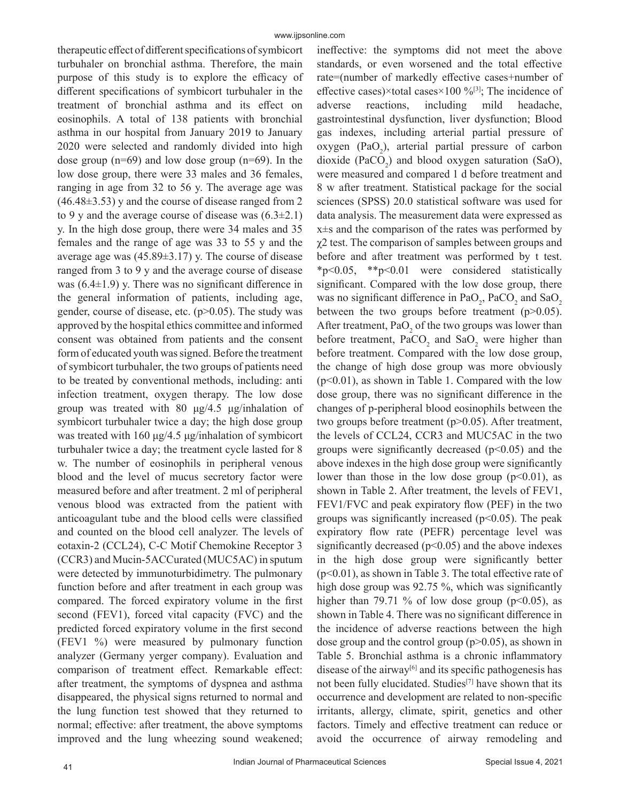therapeutic effect of different specifications of symbicort turbuhaler on bronchial asthma. Therefore, the main purpose of this study is to explore the efficacy of different specifications of symbicort turbuhaler in the treatment of bronchial asthma and its effect on eosinophils. A total of 138 patients with bronchial asthma in our hospital from January 2019 to January 2020 were selected and randomly divided into high dose group  $(n=69)$  and low dose group  $(n=69)$ . In the low dose group, there were 33 males and 36 females, ranging in age from 32 to 56 y. The average age was  $(46.48\pm3.53)$  y and the course of disease ranged from 2 to 9 y and the average course of disease was  $(6.3\pm2.1)$ y. In the high dose group, there were 34 males and 35 females and the range of age was 33 to 55 y and the average age was  $(45.89\pm3.17)$  y. The course of disease ranged from 3 to 9 y and the average course of disease was  $(6.4\pm1.9)$  y. There was no significant difference in the general information of patients, including age, gender, course of disease, etc.  $(p>0.05)$ . The study was approved by the hospital ethics committee and informed consent was obtained from patients and the consent form of educated youth was signed. Before the treatment of symbicort turbuhaler, the two groups of patients need to be treated by conventional methods, including: anti infection treatment, oxygen therapy. The low dose group was treated with 80 μg/4.5 μg/inhalation of symbicort turbuhaler twice a day; the high dose group was treated with 160  $\mu$ g/4.5  $\mu$ g/inhalation of symbicort turbuhaler twice a day; the treatment cycle lasted for 8 w. The number of eosinophils in peripheral venous blood and the level of mucus secretory factor were measured before and after treatment. 2 ml of peripheral venous blood was extracted from the patient with anticoagulant tube and the blood cells were classified and counted on the blood cell analyzer. The levels of eotaxin-2 (CCL24), C-C Motif Chemokine Receptor 3 (CCR3) and Mucin-5ACCurated (MUC5AC) in sputum were detected by immunoturbidimetry. The pulmonary function before and after treatment in each group was compared. The forced expiratory volume in the first second (FEV1), forced vital capacity (FVC) and the predicted forced expiratory volume in the first second (FEV1 %) were measured by pulmonary function analyzer (Germany yerger company). Evaluation and comparison of treatment effect. Remarkable effect: after treatment, the symptoms of dyspnea and asthma disappeared, the physical signs returned to normal and the lung function test showed that they returned to normal; effective: after treatment, the above symptoms improved and the lung wheezing sound weakened;

ineffective: the symptoms did not meet the above standards, or even worsened and the total effective rate=(number of markedly effective cases+number of effective cases)×total cases×100 %<sup>[3]</sup>; The incidence of adverse reactions, including mild headache, gastrointestinal dysfunction, liver dysfunction; Blood gas indexes, including arterial partial pressure of oxygen (PaO<sub>2</sub>), arterial partial pressure of carbon dioxide  $(PaCO<sub>2</sub>)$  and blood oxygen saturation (SaO), were measured and compared 1 d before treatment and 8 w after treatment. Statistical package for the social sciences (SPSS) 20.0 statistical software was used for data analysis. The measurement data were expressed as x±s and the comparison of the rates was performed by  $\chi$ 2 test. The comparison of samples between groups and before and after treatment was performed by t test. \*p<0.05, \*\*p<0.01 were considered statistically significant. Compared with the low dose group, there was no significant difference in  $PaO_2$ ,  $PaCO_2$  and  $SaO_2$ between the two groups before treatment (p>0.05). After treatment,  $PaO_2$  of the two groups was lower than before treatment,  $PaCO_2$  and  $SaO_2$  were higher than before treatment. Compared with the low dose group, the change of high dose group was more obviously  $(p<0.01)$ , as shown in Table 1. Compared with the low dose group, there was no significant difference in the changes of p-peripheral blood eosinophils between the two groups before treatment (p>0.05). After treatment, the levels of CCL24, CCR3 and MUC5AC in the two groups were significantly decreased  $(p<0.05)$  and the above indexes in the high dose group were significantly lower than those in the low dose group  $(p<0.01)$ , as shown in Table 2. After treatment, the levels of FEV1, FEV1/FVC and peak expiratory flow (PEF) in the two groups was significantly increased ( $p<0.05$ ). The peak expiratory flow rate (PEFR) percentage level was significantly decreased  $(p<0.05)$  and the above indexes in the high dose group were significantly better (p<0.01), as shown in Table 3. The total effective rate of high dose group was 92.75 %, which was significantly higher than 79.71 % of low dose group ( $p<0.05$ ), as shown in Table 4. There was no significant difference in the incidence of adverse reactions between the high dose group and the control group  $(p>0.05)$ , as shown in Table 5. Bronchial asthma is a chronic inflammatory disease of the airway<sup>[6]</sup> and its specific pathogenesis has not been fully elucidated. Studies<sup>[7]</sup> have shown that its occurrence and development are related to non-specific irritants, allergy, climate, spirit, genetics and other factors. Timely and effective treatment can reduce or avoid the occurrence of airway remodeling and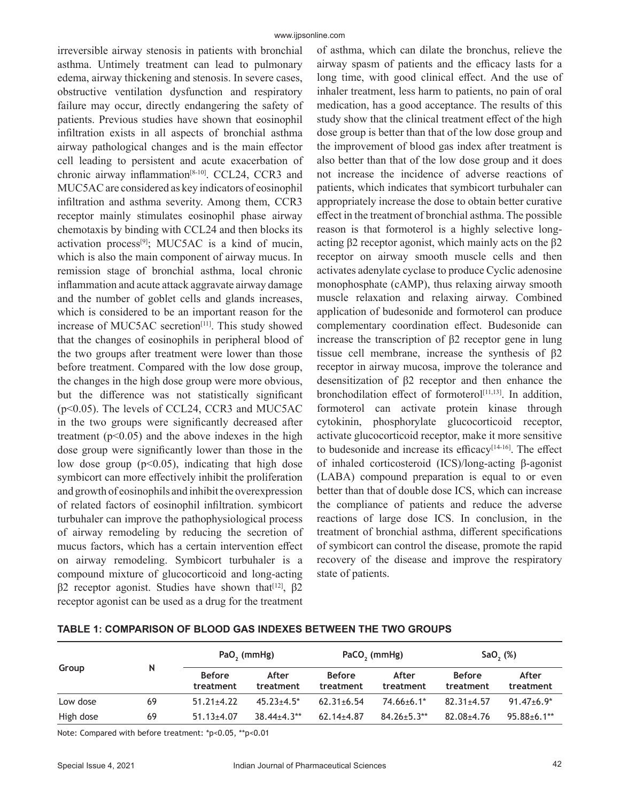irreversible airway stenosis in patients with bronchial asthma. Untimely treatment can lead to pulmonary edema, airway thickening and stenosis. In severe cases, obstructive ventilation dysfunction and respiratory failure may occur, directly endangering the safety of patients. Previous studies have shown that eosinophil infiltration exists in all aspects of bronchial asthma airway pathological changes and is the main effector cell leading to persistent and acute exacerbation of chronic airway inflammation<sup>[8-10]</sup>. CCL24, CCR3 and MUC5AC are considered as key indicators of eosinophil infiltration and asthma severity. Among them, CCR3 receptor mainly stimulates eosinophil phase airway chemotaxis by binding with CCL24 and then blocks its activation process<sup>[9]</sup>; MUC5AC is a kind of mucin, which is also the main component of airway mucus. In remission stage of bronchial asthma, local chronic inflammation and acute attack aggravate airway damage and the number of goblet cells and glands increases, which is considered to be an important reason for the increase of MUC5AC secretion<sup>[11]</sup>. This study showed that the changes of eosinophils in peripheral blood of the two groups after treatment were lower than those before treatment. Compared with the low dose group, the changes in the high dose group were more obvious, but the difference was not statistically significant (p<0.05). The levels of CCL24, CCR3 and MUC5AC in the two groups were significantly decreased after treatment  $(p<0.05)$  and the above indexes in the high dose group were significantly lower than those in the low dose group  $(p<0.05)$ , indicating that high dose symbicort can more effectively inhibit the proliferation and growth of eosinophils and inhibit the overexpression of related factors of eosinophil infiltration. symbicort turbuhaler can improve the pathophysiological process of airway remodeling by reducing the secretion of mucus factors, which has a certain intervention effect on airway remodeling. Symbicort turbuhaler is a compound mixture of glucocorticoid and long-acting  $β2$  receptor agonist. Studies have shown that<sup>[12]</sup>,  $β2$ receptor agonist can be used as a drug for the treatment

of asthma, which can dilate the bronchus, relieve the airway spasm of patients and the efficacy lasts for a long time, with good clinical effect. And the use of inhaler treatment, less harm to patients, no pain of oral medication, has a good acceptance. The results of this study show that the clinical treatment effect of the high dose group is better than that of the low dose group and the improvement of blood gas index after treatment is also better than that of the low dose group and it does not increase the incidence of adverse reactions of patients, which indicates that symbicort turbuhaler can appropriately increase the dose to obtain better curative effect in the treatment of bronchial asthma. The possible reason is that formoterol is a highly selective longacting  $β2$  receptor agonist, which mainly acts on the  $β2$ receptor on airway smooth muscle cells and then activates adenylate cyclase to produce Cyclic adenosine monophosphate (cAMP), thus relaxing airway smooth muscle relaxation and relaxing airway. Combined application of budesonide and formoterol can produce complementary coordination effect. Budesonide can increase the transcription of β2 receptor gene in lung tissue cell membrane, increase the synthesis of β2 receptor in airway mucosa, improve the tolerance and desensitization of β2 receptor and then enhance the bronchodilation effect of formoterol<sup>[11,13]</sup>. In addition, formoterol can activate protein kinase through cytokinin, phosphorylate glucocorticoid receptor, activate glucocorticoid receptor, make it more sensitive to budesonide and increase its efficacy<sup> $[14-16]$ </sup>. The effect of inhaled corticosteroid (ICS)/long-acting β-agonist (LABA) compound preparation is equal to or even better than that of double dose ICS, which can increase the compliance of patients and reduce the adverse reactions of large dose ICS. In conclusion, in the treatment of bronchial asthma, different specifications of symbicort can control the disease, promote the rapid recovery of the disease and improve the respiratory state of patients.

| Group     |    | PaO <sub>2</sub> (mmHg)    |                    | PaCO <sub>2</sub> (mmHg)   |                    | $SaO,$ $(\%)$              |                    |
|-----------|----|----------------------------|--------------------|----------------------------|--------------------|----------------------------|--------------------|
|           | N  | <b>Before</b><br>treatment | After<br>treatment | <b>Before</b><br>treatment | After<br>treatment | <b>Before</b><br>treatment | After<br>treatment |
| Low dose  | 69 | $51.21 \pm 4.22$           | $45.23 + 4.5^*$    | $62.31 \pm 6.54$           | $74.66 \pm 6.1*$   | $82.31 \pm 4.57$           | $91.47 \pm 6.9^*$  |
| High dose | 69 | $51.13 \pm 4.07$           | $38.44 \pm 4.3**$  | $62.14 \pm 4.87$           | $84.26 \pm 5.3**$  | $82.08 + 4.76$             | $95.88 \pm 6.1$ ** |

**TABLE 1: COMPARISON OF BLOOD GAS INDEXES BETWEEN THE TWO GROUPS**

Note: Compared with before treatment: \*p<0.05, \*\*p<0.01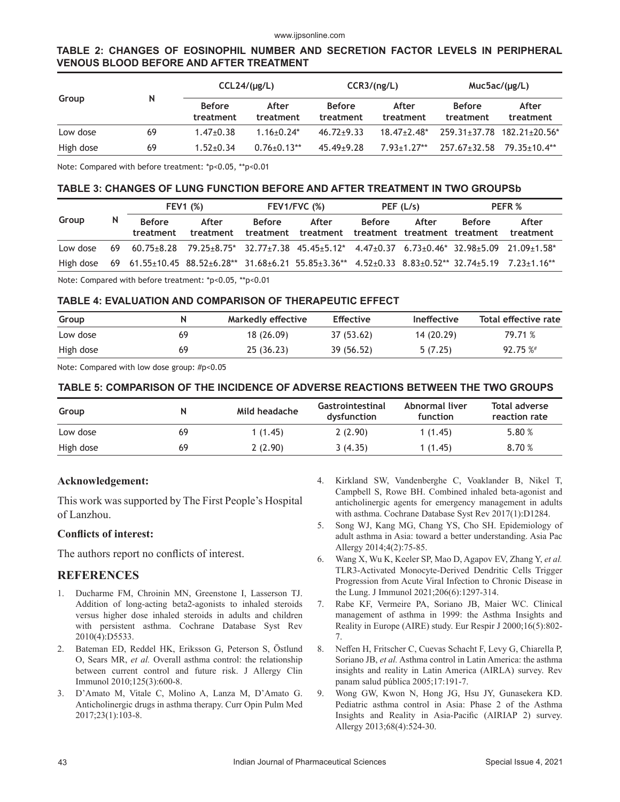#### www.ijpsonline.com

# **TABLE 2: CHANGES OF EOSINOPHIL NUMBER AND SECRETION FACTOR LEVELS IN PERIPHERAL VENOUS BLOOD BEFORE AND AFTER TREATMENT**

|           | N  | CCL24/(µq/L)               |                    | CCR3/(ng/L)                |                    | MucSac/(µg/L)              |                    |
|-----------|----|----------------------------|--------------------|----------------------------|--------------------|----------------------------|--------------------|
| Group     |    | <b>Before</b><br>treatment | After<br>treatment | <b>Before</b><br>treatment | After<br>treatment | <b>Before</b><br>treatment | After<br>treatment |
| Low dose  | 69 | $1.47 \pm 0.38$            | $1.16 + 0.24*$     | $46.72 \pm 9.33$           | $18.47 + 2.48*$    | 259.31+37.78               | $182.21 + 20.56*$  |
| High dose | 69 | $1.52 + 0.34$              | $0.76 \pm 0.13$ ** | $45.49 \pm 9.28$           | $7.93+1.27**$      | $257.67 \pm 32.58$         | $79.35 + 10.4**$   |

Note: Compared with before treatment: \*p<0.05, \*\*p<0.01

### **TABLE 3: CHANGES OF LUNG FUNCTION BEFORE AND AFTER TREATMENT IN TWO GROUPSb**

| Group    |     | <b>FEV1 (%)</b>            |                                                                                                                            | $FEV1/FVC$ (%)             |                    | PEF(L/s)      |                                        | PEFR %        |                    |
|----------|-----|----------------------------|----------------------------------------------------------------------------------------------------------------------------|----------------------------|--------------------|---------------|----------------------------------------|---------------|--------------------|
|          | N   | <b>Before</b><br>treatment | After<br>treatment                                                                                                         | <b>Before</b><br>treatment | After<br>treatment | <b>Before</b> | After<br>treatment treatment treatment | <b>Before</b> | After<br>treatment |
| Low dose | 69. |                            | $60.75\pm8.28$ $79.25\pm8.75$ $32.77\pm7.38$ $45.45\pm5.12$ $4.47\pm0.37$ $6.73\pm0.46$ $32.98\pm5.09$ $21.09\pm1.58$ $^*$ |                            |                    |               |                                        |               |                    |
|          |     |                            | High dose 69 61.55±10.45 88.52±6.28** 31.68±6.21 55.85±3.36** 4.52±0.33 8.83±0.52** 32.74±5.19 7.23±1.16**                 |                            |                    |               |                                        |               |                    |

Note: Compared with before treatment: \*p<0.05, \*\*p<0.01

# **TABLE 4: EVALUATION AND COMPARISON OF THERAPEUTIC EFFECT**

| Group     |    | Markedly effective | <b>Effective</b> | <b>Ineffective</b> | Total effective rate |
|-----------|----|--------------------|------------------|--------------------|----------------------|
| Low dose  | 69 | 18 (26.09)         | 37 (53.62)       | 14 (20.29)         | 79.71 %              |
| High dose | 69 | 25 (36.23)         | 39 (56.52)       | 5(7.25)            | 92.75%               |

Note: Compared with low dose group: #p<0.05

### **TABLE 5: COMPARISON OF THE INCIDENCE OF ADVERSE REACTIONS BETWEEN THE TWO GROUPS**

| Group     |    | Mild headache | Gastrointestinal<br>dysfunction | Abnormal liver<br><b>function</b> | Total adverse<br>reaction rate |
|-----------|----|---------------|---------------------------------|-----------------------------------|--------------------------------|
| Low dose  | 69 | 1(1.45)       | 2(2.90)                         | 1(1.45)                           | 5.80 %                         |
| High dose | 69 | 2(2.90)       | 3(4.35)                         | 1(1.45)                           | 8.70%                          |

# **Acknowledgement:**

This work was supported by The First People's Hospital of Lanzhou.

#### **Conflicts of interest:**

The authors report no conflicts of interest.

# **REFERENCES**

- 1. Ducharme FM, Chroinin MN, Greenstone I, Lasserson TJ. Addition of long‐acting beta2‐agonists to inhaled steroids versus higher dose inhaled steroids in adults and children with persistent asthma. Cochrane Database Syst Rev 2010(4):D5533.
- 2. Bateman ED, Reddel HK, Eriksson G, Peterson S, Östlund O, Sears MR, *et al.* Overall asthma control: the relationship between current control and future risk. J Allergy Clin Immunol 2010;125(3):600-8.
- 3. D'Amato M, Vitale C, Molino A, Lanza M, D'Amato G. Anticholinergic drugs in asthma therapy. Curr Opin Pulm Med 2017;23(1):103-8.
- 4. Kirkland SW, Vandenberghe C, Voaklander B, Nikel T, Campbell S, Rowe BH. Combined inhaled beta‐agonist and anticholinergic agents for emergency management in adults with asthma. Cochrane Database Syst Rev 2017(1):D1284.
- 5. Song WJ, Kang MG, Chang YS, Cho SH. Epidemiology of adult asthma in Asia: toward a better understanding. Asia Pac Allergy 2014;4(2):75-85.
- 6. Wang X, Wu K, Keeler SP, Mao D, Agapov EV, Zhang Y, *et al.* TLR3-Activated Monocyte-Derived Dendritic Cells Trigger Progression from Acute Viral Infection to Chronic Disease in the Lung. J Immunol 2021;206(6):1297-314.
- 7. Rabe KF, Vermeire PA, Soriano JB, Maier WC. Clinical management of asthma in 1999: the Asthma Insights and Reality in Europe (AIRE) study. Eur Respir J 2000;16(5):802- 7.
- 8. Neffen H, Fritscher C, Cuevas Schacht F, Levy G, Chiarella P, Soriano JB, *et al.* Asthma control in Latin America: the asthma insights and reality in Latin America (AIRLA) survey. Rev panam salud pública 2005;17:191-7.
- 9. Wong GW, Kwon N, Hong JG, Hsu JY, Gunasekera KD. Pediatric asthma control in Asia: Phase 2 of the Asthma Insights and Reality in Asia‐Pacific (AIRIAP 2) survey. Allergy 2013;68(4):524-30.